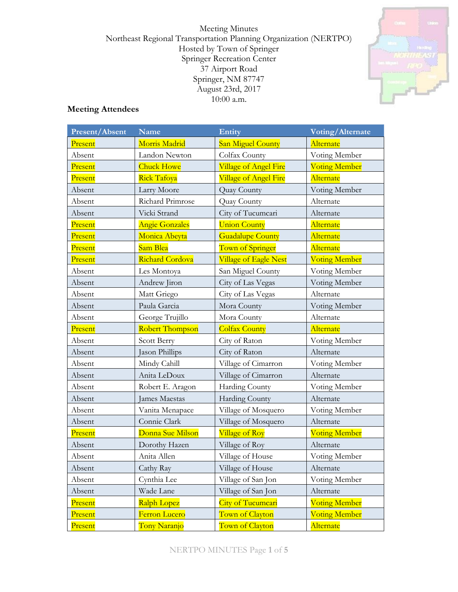Meeting Minutes Northeast Regional Transportation Planning Organization (NERTPO) Hosted by Town of Springer Springer Recreation Center 37 Airport Road Springer, NM 87747 August 23rd, 2017  $10:00$  a.m.



# **Meeting Attendees**

| Present/Absent | <b>Name</b>           | <b>Entity</b>                | Voting/Alternate     |
|----------------|-----------------------|------------------------------|----------------------|
| Present        | Morris Madrid         | <b>San Miguel County</b>     | Alternate            |
| Absent         | Landon Newton         | Colfax County                | Voting Member        |
| Present        | <b>Chuck Howe</b>     | <b>Village of Angel Fire</b> | <b>Voting Member</b> |
| Present        | <b>Rick Tafoya</b>    | Village of Angel Fire        | Alternate            |
| Absent         | Larry Moore           | Quay County                  | Voting Member        |
| Absent         | Richard Primrose      | Quay County                  | Alternate            |
| Absent         | Vicki Strand          | City of Tucumcari            | Alternate            |
| Present        | <b>Angie Gonzales</b> | <b>Union County</b>          | Alternate            |
| Present        | Monica Abeyta         | <b>Guadalupe County</b>      | Alternate            |
| Present        | Sam Blea              | Town of Springer             | Alternate            |
| Present        | Richard Cordova       | Village of Eagle Nest        | <b>Voting Member</b> |
| Absent         | Les Montoya           | San Miguel County            | Voting Member        |
| Absent         | Andrew Jiron          | City of Las Vegas            | Voting Member        |
| Absent         | Matt Griego           | City of Las Vegas            | Alternate            |
| Absent         | Paula Garcia          | Mora County                  | Voting Member        |
| Absent         | George Trujillo       | Mora County                  | Alternate            |
| Present        | Robert Thompson       | <b>Colfax County</b>         | Alternate            |
| Absent         | Scott Berry           | City of Raton                | Voting Member        |
| Absent         | Jason Phillips        | City of Raton                | Alternate            |
| Absent         | Mindy Cahill          | Village of Cimarron          | Voting Member        |
| Absent         | Anita LeDoux          | Village of Cimarron          | Alternate            |
| Absent         | Robert E. Aragon      | Harding County               | Voting Member        |
| Absent         | James Maestas         | Harding County               | Alternate            |
| Absent         | Vanita Menapace       | Village of Mosquero          | Voting Member        |
| Absent         | Connie Clark          | Village of Mosquero          | Alternate            |
| Present        | Donna Sue Milson      | Village of Roy               | <b>Voting Member</b> |
| Absent         | Dorothy Hazen         | Village of Roy               | Alternate            |
| Absent         | Anita Allen           | Village of House             | Voting Member        |
| Absent         | Cathy Ray             | Village of House             | Alternate            |
| Absent         | Cynthia Lee           | Village of San Jon           | Voting Member        |
| Absent         | Wade Lane             | Village of San Jon           | Alternate            |
| Present        | Ralph Lopez           | <b>City of Tucumcari</b>     | <b>Voting Member</b> |
| Present        | Ferron Lucero         | Town of Clayton              | <b>Voting Member</b> |
| Present        | Tony Naranjo          | Town of Clayton              | Alternate            |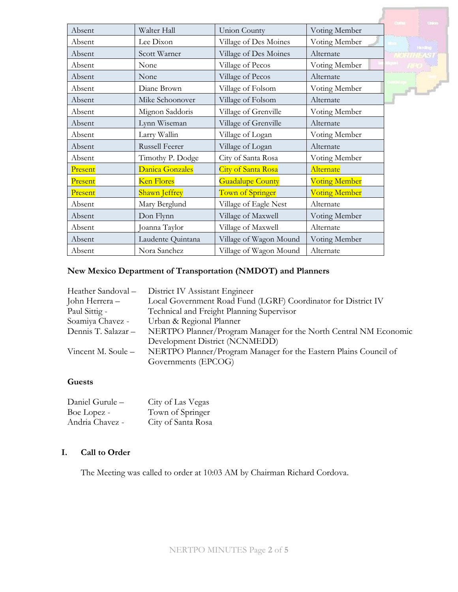|         |                       |                           |                      | <b>United</b>                     |
|---------|-----------------------|---------------------------|----------------------|-----------------------------------|
| Absent  | Walter Hall           | <b>Union County</b>       | Voting Member        |                                   |
| Absent  | Lee Dixon             | Village of Des Moines     | Voting Member        |                                   |
| Absent  | Scott Warner          | Village of Des Moines     | Alternate            | <b>Handbug</b><br><b>NORTHEAS</b> |
| Absent  | None                  | Village of Pecos          | Voting Member        |                                   |
| Absent  | None                  | Village of Pecos          | Alternate            |                                   |
| Absent  | Diane Brown           | Village of Folsom         | Voting Member        | $P^2 =$                           |
| Absent  | Mike Schoonover       | Village of Folsom         | Alternate            |                                   |
| Absent  | Mignon Saddoris       | Village of Grenville      | Voting Member        |                                   |
| Absent  | Lynn Wiseman          | Village of Grenville      | Alternate            |                                   |
| Absent  | Larry Wallin          | Village of Logan          | Voting Member        |                                   |
| Absent  | <b>Russell Feerer</b> | Village of Logan          | Alternate            |                                   |
| Absent  | Timothy P. Dodge      | City of Santa Rosa        | Voting Member        |                                   |
| Present | Danica Gonzales       | <b>City of Santa Rosa</b> | Alternate            |                                   |
| Present | <b>Ken Flores</b>     | <b>Guadalupe County</b>   | <b>Voting Member</b> |                                   |
| Present | <b>Shawn Jeffrey</b>  | Town of Springer          | <b>Voting Member</b> |                                   |
| Absent  | Mary Berglund         | Village of Eagle Nest     | Alternate            |                                   |
| Absent  | Don Flynn             | Village of Maxwell        | Voting Member        |                                   |
| Absent  | Joanna Taylor         | Village of Maxwell        | Alternate            |                                   |
| Absent  | Laudente Quintana     | Village of Wagon Mound    | Voting Member        |                                   |
| Absent  | Nora Sanchez          | Village of Wagon Mound    | Alternate            |                                   |

### **New Mexico Department of Transportation (NMDOT) and Planners**

| District IV Assistant Engineer                                   |
|------------------------------------------------------------------|
| Local Government Road Fund (LGRF) Coordinator for District IV    |
| Technical and Freight Planning Supervisor                        |
| Urban & Regional Planner                                         |
| NERTPO Planner/Program Manager for the North Central NM Economic |
| Development District (NCNMEDD)                                   |
| NERTPO Planner/Program Manager for the Eastern Plains Council of |
| Governments (EPCOG)                                              |
|                                                                  |

## **Guests**

| Daniel Gurule - | City of Las Vegas  |
|-----------------|--------------------|
| Boe Lopez -     | Town of Springer   |
| Andria Chavez - | City of Santa Rosa |

#### **I. Call to Order**

The Meeting was called to order at 10:03 AM by Chairman Richard Cordova.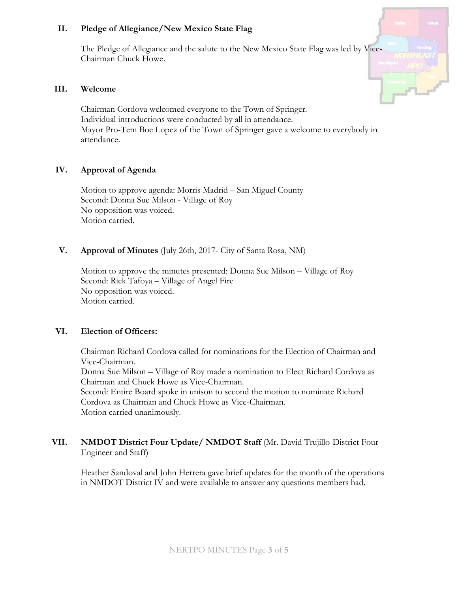#### **II. Pledge of Allegiance/New Mexico State Flag**

The Pledge of Allegiance and the salute to the New Mexico State Flag was led by Vice-Chairman Chuck Howe.

#### **III. Welcome**

Chairman Cordova welcomed everyone to the Town of Springer. Individual introductions were conducted by all in attendance. Mayor Pro-Tem Boe Lopez of the Town of Springer gave a welcome to everybody in attendance.

### **IV. Approval of Agenda**

Motion to approve agenda: Morris Madrid – San Miguel County Second: Donna Sue Milson - Village of Roy No opposition was voiced. Motion carried.

### **V. Approval of Minutes** (July 26th, 2017- City of Santa Rosa, NM)

Motion to approve the minutes presented: Donna Sue Milson – Village of Roy Second: Rick Tafoya – Village of Angel Fire No opposition was voiced. Motion carried.

#### **VI. Election of Officers:**

Chairman Richard Cordova called for nominations for the Election of Chairman and Vice-Chairman. Donna Sue Milson – Village of Roy made a nomination to Elect Richard Cordova as Chairman and Chuck Howe as Vice-Chairman. Second: Entire Board spoke in unison to second the motion to nominate Richard Cordova as Chairman and Chuck Howe as Vice-Chairman. Motion carried unanimously.

## **VII. NMDOT District Four Update/ NMDOT Staff** (Mr. David Trujillo-District Four Engineer and Staff)

Heather Sandoval and John Herrera gave brief updates for the month of the operations in NMDOT District IV and were available to answer any questions members had.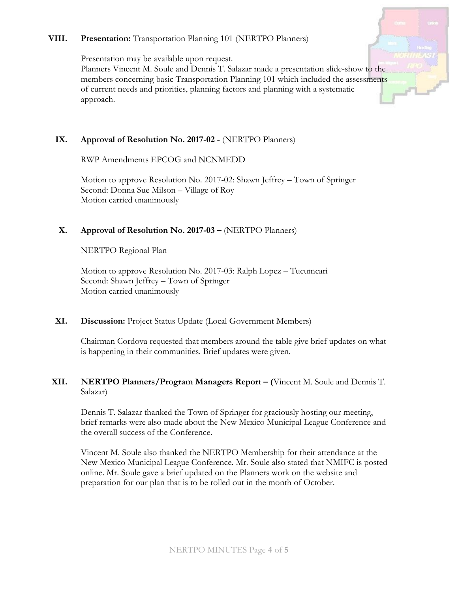#### **VIII. Presentation:** Transportation Planning 101 (NERTPO Planners)

Presentation may be available upon request.

Planners Vincent M. Soule and Dennis T. Salazar made a presentation slide-show to the members concerning basic Transportation Planning 101 which included the assessments of current needs and priorities, planning factors and planning with a systematic approach.

# **IX. Approval of Resolution No. 2017-02 -** (NERTPO Planners)

RWP Amendments EPCOG and NCNMEDD

Motion to approve Resolution No. 2017-02: Shawn Jeffrey – Town of Springer Second: Donna Sue Milson – Village of Roy Motion carried unanimously

## **X. Approval of Resolution No. 2017-03 –** (NERTPO Planners)

NERTPO Regional Plan

Motion to approve Resolution No. 2017-03: Ralph Lopez – Tucumcari Second: Shawn Jeffrey – Town of Springer Motion carried unanimously

## **XI. Discussion:** Project Status Update (Local Government Members)

Chairman Cordova requested that members around the table give brief updates on what is happening in their communities. Brief updates were given.

### **XII. NERTPO Planners/Program Managers Report – (**Vincent M. Soule and Dennis T. Salazar)

Dennis T. Salazar thanked the Town of Springer for graciously hosting our meeting, brief remarks were also made about the New Mexico Municipal League Conference and the overall success of the Conference.

Vincent M. Soule also thanked the NERTPO Membership for their attendance at the New Mexico Municipal League Conference. Mr. Soule also stated that NMIFC is posted online. Mr. Soule gave a brief updated on the Planners work on the website and preparation for our plan that is to be rolled out in the month of October.